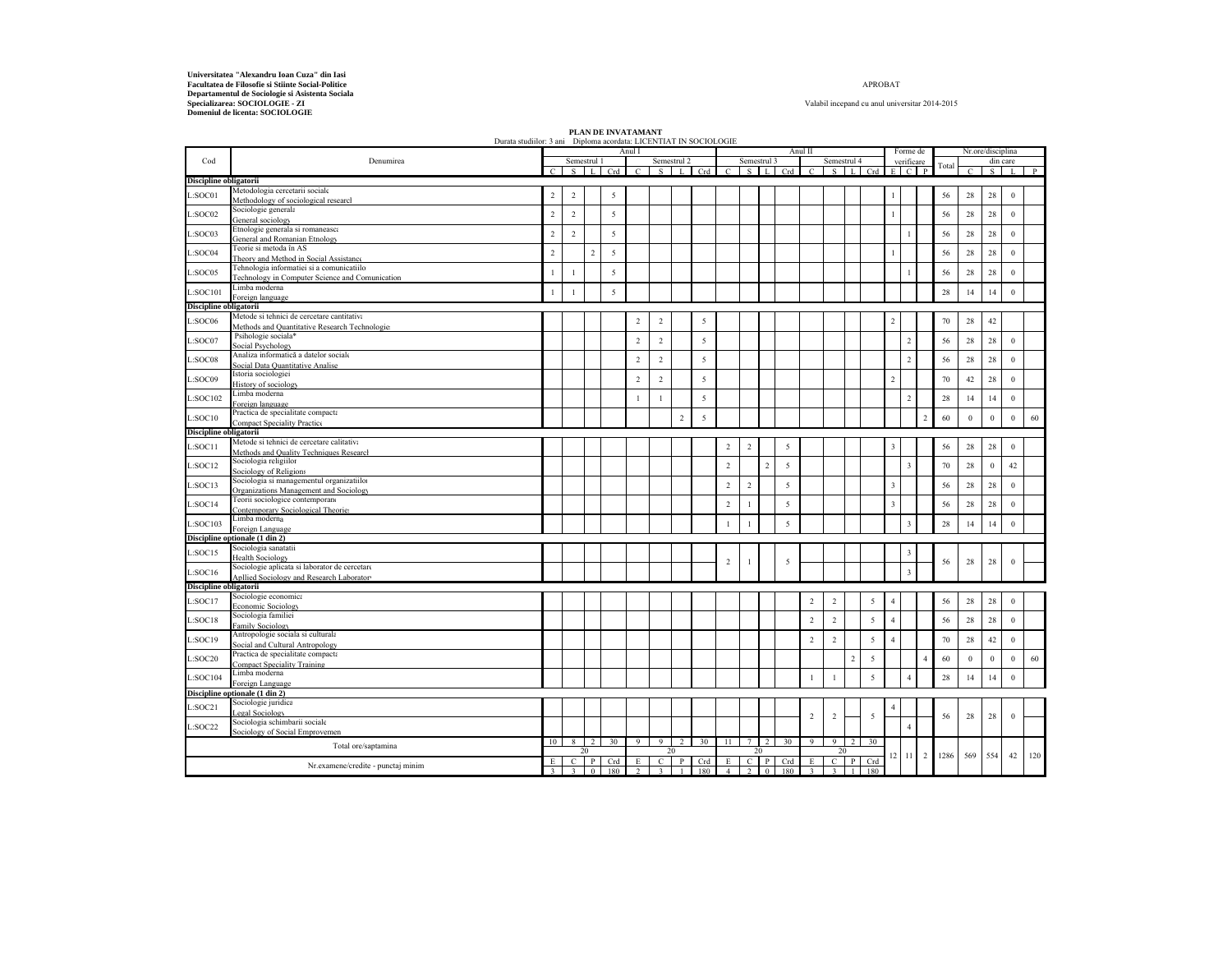**Departamentul de Sociologie si Asistenta Sociala Specializarea: SOCIOLOGIE - ZI Domeniul de licenta: SOCIOLOGIE** Universitatea "Alexandru Ioan Cuza" din Iasi<br>Facultatea de Filosofie si Stiinte Social-Politice <sup>-</sup> APROBAT - Alexandru II - Alexandru II - APROBAT - APROBAT - APROBAT - APROBAT - APROBAT - APROBAT - APROBAT - APROBAT - AP

## APROBAT

Valabil incepand cu anul universitar 2014-2015

|                                                                   | Durata studillor: 3 ani Diploma acordata: LICENTIAT IN SOCIOLOGIE |                         |                         |                |                 |                |                         |                        |                 |                 |                |                |                 |                |                         |                |                |                |                         |                |       |              |                   |                  |              |
|-------------------------------------------------------------------|-------------------------------------------------------------------|-------------------------|-------------------------|----------------|-----------------|----------------|-------------------------|------------------------|-----------------|-----------------|----------------|----------------|-----------------|----------------|-------------------------|----------------|----------------|----------------|-------------------------|----------------|-------|--------------|-------------------|------------------|--------------|
| Cod                                                               | Denumirea                                                         |                         | Semestrul 1             |                |                 | Anul I         |                         | Semestrul <sub>2</sub> |                 |                 | Semestrul 3    |                |                 | Anul II        | Semestrul 4             |                |                |                | Forme de<br>verificare  |                |       |              | Nr.ore/disciplina | din care         |              |
|                                                                   |                                                                   | $\epsilon$              |                         | $S \perp L$    | Crd 1           | $\mathcal{C}$  | S                       | L                      | Crd             | $\mathcal{C}$   |                | $S \cup L$     | Crd             | $\mathcal{C}$  | $S_{\rm}$               | $\mathbf{L}$   | Crd            | E.             |                         | $C$ $P$        | Total | $\epsilon$   | $S_{-}$           |                  | $\mathbf{p}$ |
| Discipline obligatorii                                            |                                                                   |                         |                         |                |                 |                |                         |                        |                 |                 |                |                |                 |                |                         |                |                |                |                         |                |       |              |                   |                  |              |
|                                                                   | Metodologia cercetarii sociale                                    |                         |                         |                |                 |                |                         |                        |                 |                 |                |                |                 |                |                         |                |                |                |                         |                |       |              |                   |                  |              |
| L:SOCO1                                                           | Methodology of sociological researcl                              | $\overline{2}$          | $\overline{2}$          |                | 5               |                |                         |                        |                 |                 |                |                |                 |                |                         |                |                |                |                         |                | 56    | 28           | 28                | $\mathbf{0}$     |              |
| L:SOC02                                                           | Sociologie generala                                               | $\sqrt{2}$              | $\sqrt{2}$              |                | 5               |                |                         |                        |                 |                 |                |                |                 |                |                         |                |                | $\overline{1}$ |                         |                | 56    | 28           | $28\,$            | $\boldsymbol{0}$ |              |
|                                                                   | General sociology                                                 |                         |                         |                |                 |                |                         |                        |                 |                 |                |                |                 |                |                         |                |                |                |                         |                |       |              |                   |                  |              |
| L:SOCO3                                                           | Etnologie generala si romaneasca                                  | $\overline{2}$          | $\overline{2}$          |                | 5               |                |                         |                        |                 |                 |                |                |                 |                |                         |                |                |                | 1                       |                | 56    | 28           | 28                | $\mathbf{0}$     |              |
|                                                                   | General and Romanian Etnology                                     |                         |                         |                |                 |                |                         |                        |                 |                 |                |                |                 |                |                         |                |                |                |                         |                |       |              |                   |                  |              |
| L:SOC04                                                           | Teorie si metoda în AS                                            | $\sqrt{2}$              |                         | $\overline{a}$ | 5               |                |                         |                        |                 |                 |                |                |                 |                |                         |                |                | $\mathbf{1}$   |                         |                | 56    | 28           | 28                | $\boldsymbol{0}$ |              |
|                                                                   | Theory and Method in Social Assistance                            |                         |                         |                |                 |                |                         |                        |                 |                 |                |                |                 |                |                         |                |                |                |                         |                |       |              |                   |                  |              |
| L:SOC05                                                           | Fehnologia informatiei si a comunicatiilo                         |                         | $\overline{1}$          |                | 5               |                |                         |                        |                 |                 |                |                |                 |                |                         |                |                |                | 1                       |                | 56    | 28           | 28                | $\boldsymbol{0}$ |              |
|                                                                   | <b>Technology in Computer Science and Comunication</b>            |                         |                         |                |                 |                |                         |                        |                 |                 |                |                |                 |                |                         |                |                |                |                         |                |       |              |                   |                  |              |
| L:SOC101                                                          | Limba moderna<br>Foreign language                                 |                         |                         |                | $\overline{5}$  |                |                         |                        |                 |                 |                |                |                 |                |                         |                |                |                |                         |                | 28    | 14           | 14                | $\mathbf{0}$     |              |
| Discipline obligatorii                                            |                                                                   |                         |                         |                |                 |                |                         |                        |                 |                 |                |                |                 |                |                         |                |                |                |                         |                |       |              |                   |                  |              |
|                                                                   | Metode si tehnici de cercetare cantitativa                        |                         |                         |                |                 |                |                         |                        |                 |                 |                |                |                 |                |                         |                |                |                |                         |                |       |              |                   |                  |              |
| L:SOC06                                                           | Methods and Quantitative Research Technologie:                    |                         |                         |                |                 | $\sqrt{2}$     | $\sqrt{2}$              |                        | 5               |                 |                |                |                 |                |                         |                |                | $\overline{c}$ |                         |                | 70    | 28           | 42                |                  |              |
|                                                                   | Psihologie sociala*                                               |                         |                         |                |                 |                |                         |                        |                 |                 |                |                |                 |                |                         |                |                |                |                         |                |       |              |                   |                  |              |
| L:SOC07                                                           | Social Psychology                                                 |                         |                         |                |                 | $\overline{c}$ | $\sqrt{2}$              |                        | 5               |                 |                |                |                 |                |                         |                |                |                | $\overline{2}$          |                | 56    | 28           | 28                | $\mathbf{0}$     |              |
|                                                                   | Analiza informatică a datelor sociale                             |                         |                         |                |                 |                |                         |                        |                 |                 |                |                |                 |                |                         |                |                |                |                         |                |       |              |                   |                  |              |
| L:SOC08                                                           | Social Data Quantitative Analise                                  |                         |                         |                |                 | $\overline{2}$ | $\overline{2}$          |                        | 5               |                 |                |                |                 |                |                         |                |                |                | $\overline{2}$          |                | 56    | 28           | 28                | $\mathbf{0}$     |              |
|                                                                   | Istoria sociologiei                                               |                         |                         |                |                 |                |                         |                        |                 |                 |                |                |                 |                |                         |                |                |                |                         |                |       |              |                   |                  |              |
| L:SOC09                                                           | History of sociology                                              |                         |                         |                |                 | $\overline{2}$ | $\overline{2}$          |                        | 5               |                 |                |                |                 |                |                         |                |                | $\sqrt{2}$     |                         |                | 70    | 42           | 28                | $\boldsymbol{0}$ |              |
| $\textcolor{blue}{\mathbf{\mathsf{L}:} \mathbf{SO}\mathbf{C}102}$ | Limba moderna                                                     |                         |                         |                |                 | $\mathbf{1}$   | $\mathbf{1}$            |                        | 5               |                 |                |                |                 |                |                         |                |                |                | $\overline{2}$          |                | 28    | 14           | 14                | $\mathbf{0}$     |              |
|                                                                   | Foreign language                                                  |                         |                         |                |                 |                |                         |                        |                 |                 |                |                |                 |                |                         |                |                |                |                         |                |       |              |                   |                  |              |
| L:SOC10                                                           | Practica de specialitate compacta                                 |                         |                         |                |                 |                |                         | $\overline{2}$         | 5               |                 |                |                |                 |                |                         |                |                |                |                         | $\overline{2}$ | 60    | $\mathbf{0}$ | $\bf 0$           | $\mathbf{0}$     | 60           |
|                                                                   | <b>Compact Speciality Practice</b>                                |                         |                         |                |                 |                |                         |                        |                 |                 |                |                |                 |                |                         |                |                |                |                         |                |       |              |                   |                  |              |
| Discipline obligatorii                                            |                                                                   |                         |                         |                |                 |                |                         |                        |                 |                 |                |                |                 |                |                         |                |                |                |                         |                |       |              |                   |                  |              |
| L:SOC11                                                           | Metode si tehnici de cercetare calitativa                         |                         |                         |                |                 |                |                         |                        |                 | $\,2\,$         | $\sqrt{2}$     |                | $\overline{5}$  |                |                         |                |                | $\overline{3}$ |                         |                | 56    | 28           | $28\,$            | $\,0\,$          |              |
|                                                                   | Methods and Quality Techniques Research                           |                         |                         |                |                 |                |                         |                        |                 |                 |                |                |                 |                |                         |                |                |                |                         |                |       |              |                   |                  |              |
| L:SOC12                                                           | Sociologia religiilor                                             |                         |                         |                |                 |                |                         |                        |                 | $\overline{2}$  |                | $\overline{2}$ | 5               |                |                         |                |                |                | $\overline{\mathbf{3}}$ |                | 70    | 28           | $\mathbf{0}$      | 42               |              |
|                                                                   | Sociology of Religions                                            |                         |                         |                |                 |                |                         |                        |                 |                 |                |                |                 |                |                         |                |                |                |                         |                |       |              |                   |                  |              |
| L:SOC13                                                           | Sociologia si managementul organizatiilo                          |                         |                         |                |                 |                |                         |                        |                 | $\sqrt{2}$      | $\sqrt{2}$     |                | $\sqrt{5}$      |                |                         |                |                | $\mathbf{3}$   |                         |                | 56    | $\sqrt{28}$  | $28\,$            | $\boldsymbol{0}$ |              |
|                                                                   | Organizations Management and Sociology                            |                         |                         |                |                 |                |                         |                        |                 |                 |                |                |                 |                |                         |                |                |                |                         |                |       |              |                   |                  |              |
| L:SOC14                                                           | l'eorii sociologice contemporano                                  |                         |                         |                |                 |                |                         |                        |                 | $\overline{c}$  | $\mathbf{1}$   |                | 5               |                |                         |                |                | $\overline{3}$ |                         |                | 56    | 28           | 28                | $\mathbf{0}$     |              |
|                                                                   | Contemporary Sociological Theorie:<br>Limba moderna               |                         |                         |                |                 |                |                         |                        |                 |                 |                |                |                 |                |                         |                |                |                |                         |                |       |              |                   |                  |              |
| L:SOC103                                                          | Foreign Language                                                  |                         |                         |                |                 |                |                         |                        |                 | $\mathbf{1}$    | $\mathbf{1}$   |                | $\overline{5}$  |                |                         |                |                |                | $\overline{\mathbf{3}}$ |                | 28    | 14           | 14                | $\boldsymbol{0}$ |              |
|                                                                   | Discipline optionale (1 din 2)                                    |                         |                         |                |                 |                |                         |                        |                 |                 |                |                |                 |                |                         |                |                |                |                         |                |       |              |                   |                  |              |
|                                                                   | Sociologia sanatatii                                              |                         |                         |                |                 |                |                         |                        |                 |                 |                |                |                 |                |                         |                |                |                |                         |                |       |              |                   |                  |              |
| L:SOC15                                                           | <b>Health Sociology</b>                                           |                         |                         |                |                 |                |                         |                        |                 |                 |                |                |                 |                |                         |                |                |                | 3                       |                |       |              |                   |                  |              |
|                                                                   | Sociologie aplicata si laborator de cercetare                     |                         |                         |                |                 |                |                         |                        |                 | $\overline{2}$  | $\mathbf{1}$   |                | 5               |                |                         |                |                |                |                         |                | 56    | 28           | 28                | $\mathbf{0}$     |              |
| L:SOC16                                                           | Apllied Sociology and Research Laboratory                         |                         |                         |                |                 |                |                         |                        |                 |                 |                |                |                 |                |                         |                |                |                | $\overline{\mathbf{3}}$ |                |       |              |                   |                  |              |
| Discipline obligatorii                                            |                                                                   |                         |                         |                |                 |                |                         |                        |                 |                 |                |                |                 |                |                         |                |                |                |                         |                |       |              |                   |                  |              |
| L:SOC17                                                           | Sociologie economica                                              |                         |                         |                |                 |                |                         |                        |                 |                 |                |                |                 | $\sqrt{2}$     | $\sqrt{2}$              |                | 5              | $\overline{4}$ |                         |                | 56    | 28           | 28                | $\mathbf{0}$     |              |
|                                                                   | Economic Sociology                                                |                         |                         |                |                 |                |                         |                        |                 |                 |                |                |                 |                |                         |                |                |                |                         |                |       |              |                   |                  |              |
| L:SOC18                                                           | Sociologia familiei                                               |                         |                         |                |                 |                |                         |                        |                 |                 |                |                |                 | $\sqrt{2}$     | $\sqrt{2}$              |                | 5              | $\overline{4}$ |                         |                | 56    | $28\,$       | $28\,$            | $\boldsymbol{0}$ |              |
|                                                                   | amily Sociology                                                   |                         |                         |                |                 |                |                         |                        |                 |                 |                |                |                 |                |                         |                |                |                |                         |                |       |              |                   |                  |              |
| L:SOC19                                                           | Antropologie sociala si culturala                                 |                         |                         |                |                 |                |                         |                        |                 |                 |                |                |                 | $\overline{2}$ | $\overline{2}$          |                | 5              | $\overline{4}$ |                         |                | 70    | 28           | 42                | $\mathbf{0}$     |              |
|                                                                   | Social and Cultural Antropology                                   |                         |                         |                |                 |                |                         |                        |                 |                 |                |                |                 |                |                         |                |                |                |                         |                |       |              |                   |                  |              |
| L:SOC20                                                           | Practica de specialitate compacta                                 |                         |                         |                |                 |                |                         |                        |                 |                 |                |                |                 |                |                         | $\overline{2}$ | 5              |                |                         | $\overline{4}$ | 60    | $\mathbf{0}$ | $\mathbf{0}$      | $\theta$         | 60           |
|                                                                   | Compact Speciality Training                                       |                         |                         |                |                 |                |                         |                        |                 |                 |                |                |                 |                |                         |                |                |                |                         |                |       |              |                   |                  |              |
| L:SOC104                                                          | Limba moderna                                                     |                         |                         |                |                 |                |                         |                        |                 |                 |                |                |                 | 1              | $\mathbf{1}$            |                | 5              |                | $\overline{4}$          |                | 28    | 14           | 14                | $\boldsymbol{0}$ |              |
|                                                                   | Foreign Language                                                  |                         |                         |                |                 |                |                         |                        |                 |                 |                |                |                 |                |                         |                |                |                |                         |                |       |              |                   |                  |              |
|                                                                   | Discipline optionale (1 din 2)                                    |                         |                         |                |                 |                |                         |                        |                 |                 |                |                |                 |                |                         |                |                |                |                         |                |       |              |                   |                  |              |
| L:SOC21                                                           | Sociologie juridica                                               |                         |                         |                |                 |                |                         |                        |                 |                 |                |                |                 |                |                         |                |                | $\overline{4}$ |                         |                |       |              |                   |                  |              |
|                                                                   | egal Sociology<br>Sociologia schimbarii sociale                   |                         |                         |                |                 |                |                         |                        |                 |                 |                |                |                 | $\overline{2}$ | $\overline{2}$          |                | $\overline{5}$ |                |                         |                | 56    | 28           | 28                | $\mathbf{0}$     |              |
| L:SOC22                                                           |                                                                   |                         |                         |                |                 |                |                         |                        |                 |                 |                |                |                 |                |                         |                |                |                | $\overline{4}$          |                |       |              |                   |                  |              |
|                                                                   | Sociology of Social Emprovemen                                    | 10 l                    | $\frac{8}{3}$           | $\overline{2}$ | 30 <sup>2</sup> | $\overline{9}$ | $\overline{9}$          | $\overline{2}$         | 30 <sup>2</sup> | $\overline{11}$ | 7              |                | 30 <sup>2</sup> | 9              | 9                       | $\overline{2}$ | 30             |                |                         |                |       |              |                   |                  |              |
|                                                                   | Total ore/saptamina                                               |                         |                         | 20             |                 |                |                         | 20                     |                 |                 | 20             |                |                 |                | 20                      |                |                |                |                         |                |       |              |                   |                  |              |
|                                                                   |                                                                   | E                       | $\overline{c}$          | $\mathbf{P}$   | Crd             | E              | $\overline{c}$          | $\mathbf{P}$           | Crd             | E               | $\overline{c}$ | $\mathbf{P}$   | Crd             | E              | $\overline{c}$          | $\overline{P}$ | Crd            | 12             | 11                      | 2              | 1286  | 569          | 554               | 42               | 120          |
|                                                                   | Nr.examene/credite - punctaj minim                                | $\overline{\mathbf{3}}$ | $\overline{\mathbf{3}}$ | $\theta$       | 180             | $\overline{2}$ | $\overline{\mathbf{3}}$ |                        | 180             | $\overline{4}$  | 2              | $\overline{0}$ | 180             | $\overline{3}$ | $\overline{\mathbf{3}}$ |                | 180            |                |                         |                |       |              |                   |                  |              |

**PLAN DE INVATAMANT**<br>Durata studiilor: 3 ani Diploma acordata: LICENTIAT IN SOCIOLOGIE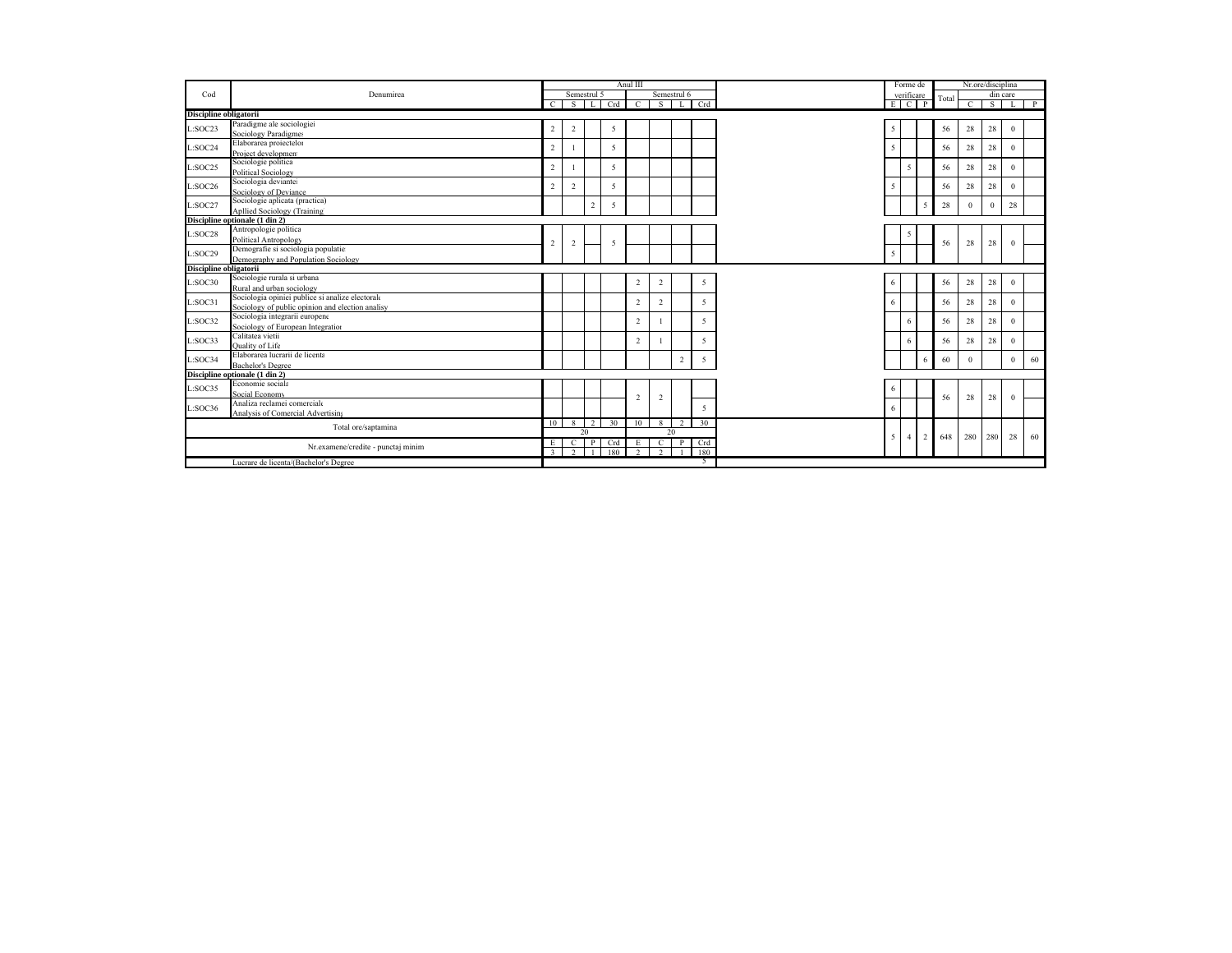|                        |                                                  |                |                |                 |     | Anul III       |                |                |                |                | Forme de       |                |       |               | Nr.ore/disciplina |              |    |
|------------------------|--------------------------------------------------|----------------|----------------|-----------------|-----|----------------|----------------|----------------|----------------|----------------|----------------|----------------|-------|---------------|-------------------|--------------|----|
| Cod                    | Denumirea                                        |                | Semestrul 5    |                 |     |                | Semestrul 6    |                |                |                | verificare     |                | Total |               |                   | din care     |    |
|                        |                                                  | $\overline{c}$ | <sup>S</sup>   | ΤΕ              | Crd | $\overline{c}$ | <sup>S</sup>   | L              | Crd            |                |                | $E$ $C$ $P$    |       | $\mathcal{C}$ | s                 |              | P  |
| Discipline obligatorii |                                                  |                |                |                 |     |                |                |                |                |                |                |                |       |               |                   |              |    |
| L:SOC23                | Paradigme ale sociologiei                        | $\overline{2}$ | $\overline{2}$ |                 | 5   |                |                |                |                | 5              |                |                | 56    | 28            | 28                | $\Omega$     |    |
|                        | Sociology Paradigmes                             |                |                |                 |     |                |                |                |                |                |                |                |       |               |                   |              |    |
| L:SOC24                | Elaborarea proiectelor                           | 2              |                |                 | 5   |                |                |                |                | 5              |                |                | 56    | 28            | 28                | $\Omega$     |    |
|                        | Project development                              |                |                |                 |     |                |                |                |                |                |                |                |       |               |                   |              |    |
| L:SOC25                | Sociologie politica                              | $\overline{2}$ |                |                 | 5   |                |                |                |                |                | 5              |                | 56    | 28            | 28                | $\Omega$     |    |
|                        | <b>Political Sociology</b>                       |                |                |                 |     |                |                |                |                |                |                |                |       |               |                   |              |    |
| L:SOC26                | Sociologia deviantei                             | $\overline{2}$ | $\sqrt{2}$     |                 | 5   |                |                |                |                | 5              |                |                | 56    | 28            | 28                | $\Omega$     |    |
|                        | Sociology of Deviance                            |                |                |                 |     |                |                |                |                |                |                |                |       |               |                   |              |    |
| L:SOC27                | Sociologie aplicata (practica)                   |                |                | $\overline{2}$  | 5   |                |                |                |                |                |                | 5              | 28    | $\Omega$      | $\theta$          | 28           |    |
|                        | <b>Apllied Sociology (Training)</b>              |                |                |                 |     |                |                |                |                |                |                |                |       |               |                   |              |    |
|                        | Discipline optionale (1 din 2)                   |                |                |                 |     |                |                |                |                |                |                |                |       |               |                   |              |    |
| L:SOC28                | Antropologie politica                            |                |                |                 |     |                |                |                |                |                | 5              |                |       |               |                   |              |    |
|                        | Political Antropology                            | $\sqrt{2}$     | $\overline{2}$ |                 | 5   |                |                |                |                |                |                |                | 56    | 28            | 28                | $\mathbf{0}$ |    |
| L:SOC29                | Demografie si sociologia populatie:              |                |                |                 |     |                |                |                |                | 5              |                |                |       |               |                   |              |    |
|                        | Demography and Population Sociology              |                |                |                 |     |                |                |                |                |                |                |                |       |               |                   |              |    |
| Discipline obligatorii |                                                  |                |                |                 |     |                |                |                |                |                |                |                |       |               |                   |              |    |
| L:SOC30                | Sociologie rurala si urbana                      |                |                |                 |     | 2              | 2              |                | 5              | 6              |                |                | 56    | 28            | 28                | $\Omega$     |    |
|                        | Rural and urban sociology                        |                |                |                 |     |                |                |                |                |                |                |                |       |               |                   |              |    |
| L:SOC31                | Sociologia opiniei publice si analize electorale |                |                |                 |     | 2              | 2              |                | 5              | 6              |                |                | 56    | 28            | 28                | $\Omega$     |    |
|                        | Sociology of public opinion and election analisy |                |                |                 |     |                |                |                |                |                |                |                |       |               |                   |              |    |
| L:SOC32                | Sociologia integrarii europene                   |                |                |                 |     | $\overline{c}$ |                |                | 5              |                | 6              |                | 56    | 28            | 28                | $\Omega$     |    |
|                        | Sociology of European Integration                |                |                |                 |     |                |                |                |                |                |                |                |       |               |                   |              |    |
| L:SOC33                | Calitatea vietii                                 |                |                |                 |     | $\overline{2}$ |                |                | 5              |                | 6              |                | 56    | 28            | 28                | $\mathbf{0}$ |    |
|                        | <b>Ouality of Life</b>                           |                |                |                 |     |                |                |                |                |                |                |                |       |               |                   |              |    |
| L:SOC34                | Elaborarea lucrarii de licenta                   |                |                |                 |     |                |                | $\overline{c}$ | 5              |                |                | 6              | 60    | $\Omega$      |                   | $\theta$     | 60 |
|                        | <b>Bachelor's Degree</b>                         |                |                |                 |     |                |                |                |                |                |                |                |       |               |                   |              |    |
|                        | Discipline optionale (1 din 2)                   |                |                |                 |     |                |                |                |                |                |                |                |       |               |                   |              |    |
| L:SOC35                | Economie sociala                                 |                |                |                 |     |                |                |                |                | 6              |                |                |       |               |                   |              |    |
|                        | Social Economy                                   |                |                |                 |     | $\mathfrak{D}$ | $\overline{c}$ |                |                |                |                |                | 56    | 28            | 28                | $\theta$     |    |
| L:SOC36                | Analiza reclamei comerciale                      |                |                |                 |     |                |                |                | $\overline{5}$ | 6              |                |                |       |               |                   |              |    |
|                        | Analysis of Comercial Advertising                |                |                |                 |     |                |                |                |                |                |                |                |       |               |                   |              |    |
|                        | Total ore/saptamina                              | 10             | 8              | $\overline{1}2$ | 30  | 10             | 8              | 2              | 30             |                |                |                |       |               |                   |              |    |
|                        |                                                  |                |                | 20              |     |                |                | 20             |                | 5 <sup>1</sup> | $\overline{4}$ | $\overline{2}$ | 648   | 280           | 280               | 28           | 60 |
|                        | Nr.examene/credite - punctaj minim               | E              | C              | ΠΡ              | Crd | E              | $\overline{c}$ | $\mathbf{P}$   | Crd            |                |                |                |       |               |                   |              |    |
|                        |                                                  | $\overline{3}$ | $\overline{2}$ |                 | 180 | $\overline{2}$ | $\overline{2}$ |                | 180            |                |                |                |       |               |                   |              |    |
|                        | Lucrare de licenta/(Bachelor's Degree            |                |                |                 |     |                |                |                | 5              |                |                |                |       |               |                   |              |    |